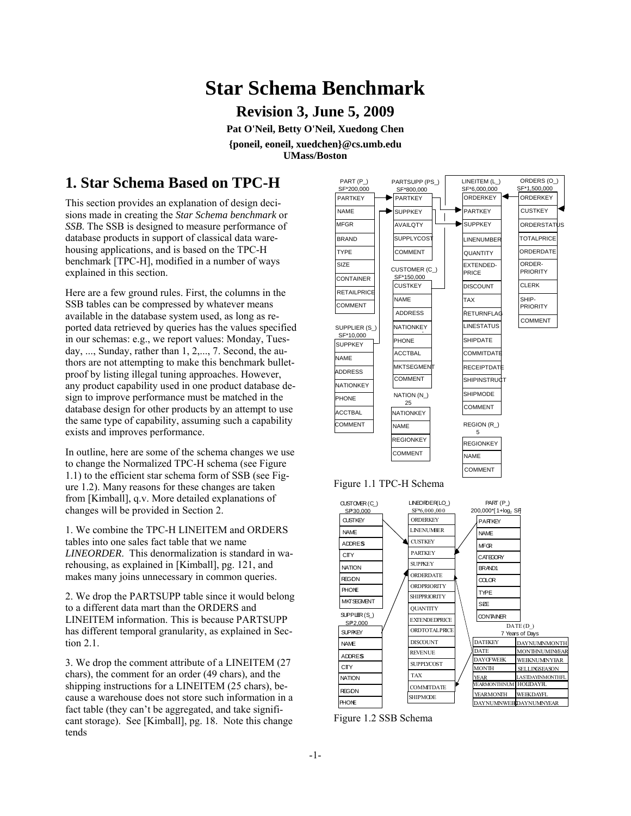# **Star Schema Benchmark**

**Revision 3, June 5, 2009** 

**Pat O'Neil, Betty O'Neil, Xuedong Chen {poneil, eoneil, xuedchen}@cs.umb.edu UMass/Boston**

# **1. Star Schema Based on TPC-H**

This section provides an explanation of design decisions made in creating the *Star Schema benchmark* or *SSB*. The SSB is designed to measure performance of database products in support of classical data warehousing applications, and is based on the TPC-H benchmark [TPC-H], modified in a number of ways explained in this section.

Here are a few ground rules. First, the columns in the SSB tables can be compressed by whatever means available in the database system used, as long as reported data retrieved by queries has the values specified in our schemas: e.g., we report values: Monday, Tuesday, ..., Sunday, rather than 1, 2,..., 7. Second, the authors are not attempting to make this benchmark bulletproof by listing illegal tuning approaches. However, any product capability used in one product database design to improve performance must be matched in the database design for other products by an attempt to use the same type of capability, assuming such a capability exists and improves performance.

In outline, here are some of the schema changes we use to change the Normalized TPC-H schema (see Figure 1.1) to the efficient star schema form of SSB (see Figure 1.2). Many reasons for these changes are taken from [Kimball], q.v. More detailed explanations of changes will be provided in Section 2.

1. We combine the TPC-H LINEITEM and ORDERS tables into one sales fact table that we name *LINEORDER*. This denormalization is standard in warehousing, as explained in [Kimball], pg. 121, and makes many joins unnecessary in common queries.

2. We drop the PARTSUPP table since it would belong to a different data mart than the ORDERS and LINEITEM information. This is because PARTSUPP has different temporal granularity, as explained in Section 2.1.

3. We drop the comment attribute of a LINEITEM (27 chars), the comment for an order (49 chars), and the shipping instructions for a LINEITEM (25 chars), because a warehouse does not store such information in a fact table (they can't be aggregated, and take significant storage). See [Kimball], pg. 18. Note this change tends



Figure 1.2 SSB Schema

NAME **ADDRES CITY NATION REGON** PHONE

REVENUE

SUPPLYCOST

DISCOUNT

**DATEKEY DATE** DAYOFWEEK MONTH YEAR **YEARMONTHN EARMONTH** 

DAYNUMINWEEK DAYNUMINYEAR

DAYNUMINMONTH MONTHNUMINYEAR WEEKNUMINYEAR SELLINGSEASON **ASTDAYINMONTHF HOLIDAVE WEEKDAYFL** 

TAX **COMMITDATE** SHIPMODE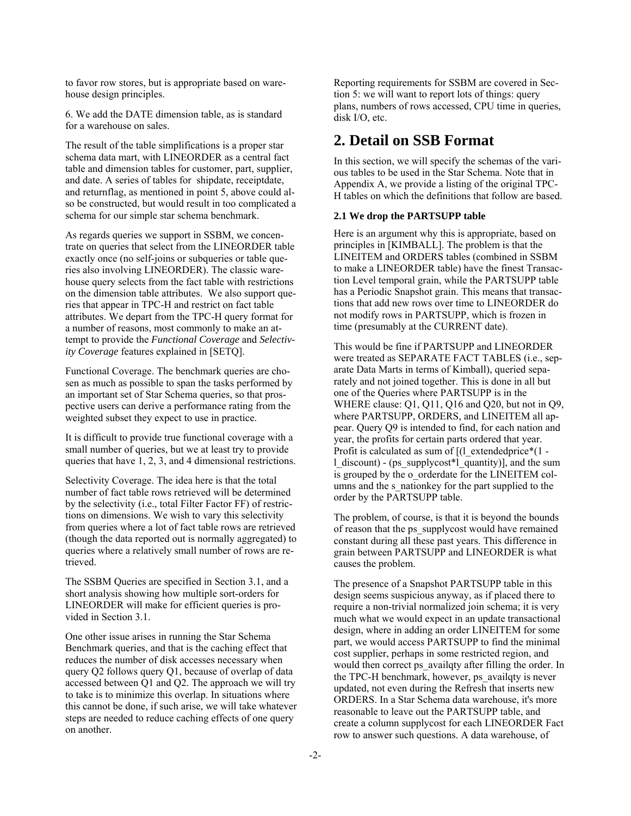to favor row stores, but is appropriate based on warehouse design principles.

6. We add the DATE dimension table, as is standard for a warehouse on sales.

The result of the table simplifications is a proper star schema data mart, with LINEORDER as a central fact table and dimension tables for customer, part, supplier, and date. A series of tables for shipdate, receiptdate, and returnflag, as mentioned in point 5, above could also be constructed, but would result in too complicated a schema for our simple star schema benchmark.

As regards queries we support in SSBM, we concentrate on queries that select from the LINEORDER table exactly once (no self-joins or subqueries or table queries also involving LINEORDER). The classic warehouse query selects from the fact table with restrictions on the dimension table attributes. We also support queries that appear in TPC-H and restrict on fact table attributes. We depart from the TPC-H query format for a number of reasons, most commonly to make an attempt to provide the *Functional Coverage* and *Selectivity Coverage* features explained in [SETQ].

Functional Coverage. The benchmark queries are chosen as much as possible to span the tasks performed by an important set of Star Schema queries, so that prospective users can derive a performance rating from the weighted subset they expect to use in practice.

It is difficult to provide true functional coverage with a small number of queries, but we at least try to provide queries that have 1, 2, 3, and 4 dimensional restrictions.

Selectivity Coverage. The idea here is that the total number of fact table rows retrieved will be determined by the selectivity (i.e., total Filter Factor FF) of restrictions on dimensions. We wish to vary this selectivity from queries where a lot of fact table rows are retrieved (though the data reported out is normally aggregated) to queries where a relatively small number of rows are retrieved.

The SSBM Queries are specified in Section 3.1, and a short analysis showing how multiple sort-orders for LINEORDER will make for efficient queries is provided in Section 3.1.

One other issue arises in running the Star Schema Benchmark queries, and that is the caching effect that reduces the number of disk accesses necessary when query Q2 follows query Q1, because of overlap of data accessed between Q1 and Q2. The approach we will try to take is to minimize this overlap. In situations where this cannot be done, if such arise, we will take whatever steps are needed to reduce caching effects of one query on another.

Reporting requirements for SSBM are covered in Section 5: we will want to report lots of things: query plans, numbers of rows accessed, CPU time in queries, disk I/O, etc.

# **2. Detail on SSB Format**

In this section, we will specify the schemas of the various tables to be used in the Star Schema. Note that in Appendix A, we provide a listing of the original TPC-H tables on which the definitions that follow are based.

### **2.1 We drop the PARTSUPP table**

Here is an argument why this is appropriate, based on principles in [KIMBALL]. The problem is that the LINEITEM and ORDERS tables (combined in SSBM to make a LINEORDER table) have the finest Transaction Level temporal grain, while the PARTSUPP table has a Periodic Snapshot grain. This means that transactions that add new rows over time to LINEORDER do not modify rows in PARTSUPP, which is frozen in time (presumably at the CURRENT date).

This would be fine if PARTSUPP and LINEORDER were treated as SEPARATE FACT TABLES (i.e., separate Data Marts in terms of Kimball), queried separately and not joined together. This is done in all but one of the Queries where PARTSUPP is in the WHERE clause: Q1, Q11, Q16 and Q20, but not in Q9, where PARTSUPP, ORDERS, and LINEITEM all appear. Query Q9 is intended to find, for each nation and year, the profits for certain parts ordered that year. Profit is calculated as sum of  $[(1$  extendedprice<sup>\*</sup> $(1$ l\_discount) - (ps\_supplycost\*l\_quantity)], and the sum is grouped by the o\_orderdate for the LINEITEM columns and the s\_nationkey for the part supplied to the order by the PARTSUPP table.

The problem, of course, is that it is beyond the bounds of reason that the ps\_supplycost would have remained constant during all these past years. This difference in grain between PARTSUPP and LINEORDER is what causes the problem.

The presence of a Snapshot PARTSUPP table in this design seems suspicious anyway, as if placed there to require a non-trivial normalized join schema; it is very much what we would expect in an update transactional design, where in adding an order LINEITEM for some part, we would access PARTSUPP to find the minimal cost supplier, perhaps in some restricted region, and would then correct ps\_availqty after filling the order. In the TPC-H benchmark, however, ps\_availqty is never updated, not even during the Refresh that inserts new ORDERS. In a Star Schema data warehouse, it's more reasonable to leave out the PARTSUPP table, and create a column supplycost for each LINEORDER Fact row to answer such questions. A data warehouse, of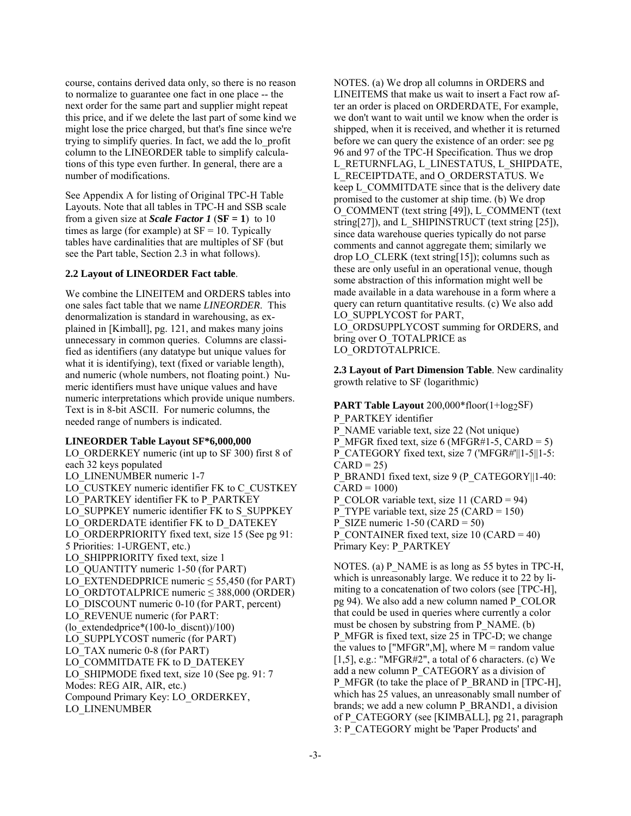course, contains derived data only, so there is no reason to normalize to guarantee one fact in one place -- the next order for the same part and supplier might repeat this price, and if we delete the last part of some kind we might lose the price charged, but that's fine since we're trying to simplify queries. In fact, we add the lo\_profit column to the LINEORDER table to simplify calculations of this type even further. In general, there are a number of modifications.

See Appendix A for listing of Original TPC-H Table Layouts. Note that all tables in TPC-H and SSB scale from a given size at *Scale Factor 1* ( $SF = 1$ ) to 10 times as large (for example) at  $SF = 10$ . Typically tables have cardinalities that are multiples of SF (but see the Part table, Section 2.3 in what follows).

#### **2.2 Layout of LINEORDER Fact table**.

We combine the LINEITEM and ORDERS tables into one sales fact table that we name *LINEORDER*. This denormalization is standard in warehousing, as explained in [Kimball], pg. 121, and makes many joins unnecessary in common queries. Columns are classified as identifiers (any datatype but unique values for what it is identifying), text (fixed or variable length), and numeric (whole numbers, not floating point.) Numeric identifiers must have unique values and have numeric interpretations which provide unique numbers. Text is in 8-bit ASCII. For numeric columns, the needed range of numbers is indicated.

### **LINEORDER Table Layout SF\*6,000,000**

LO\_ORDERKEY numeric (int up to SF 300) first 8 of each 32 keys populated LO LINENUMBER numeric 1-7 LO\_CUSTKEY numeric identifier FK to C\_CUSTKEY LO\_PARTKEY identifier FK to P\_PARTKEY LO\_SUPPKEY numeric identifier FK to S\_SUPPKEY LO\_ORDERDATE identifier FK to D\_DATEKEY LO\_ORDERPRIORITY fixed text, size 15 (See pg 91: 5 Priorities: 1-URGENT, etc.) LO\_SHIPPRIORITY fixed text, size 1 LO\_QUANTITY numeric 1-50 (for PART) LO\_EXTENDEDPRICE numeric  $\leq$  55,450 (for PART) LO\_ORDTOTALPRICE numeric  $\leq$  388,000 (ORDER) LO DISCOUNT numeric 0-10 (for PART, percent) LO\_REVENUE numeric (for PART: (lo extendedprice\* $(100-lo\textrm{~discnt})/100$ ) LO\_SUPPLYCOST numeric (for PART) LO TAX numeric 0-8 (for PART) LO\_COMMITDATE FK to D\_DATEKEY LO SHIPMODE fixed text, size 10 (See pg. 91: 7) Modes: REG AIR, AIR, etc.) Compound Primary Key: LO\_ORDERKEY, LO\_LINENUMBER

NOTES. (a) We drop all columns in ORDERS and LINEITEMS that make us wait to insert a Fact row after an order is placed on ORDERDATE, For example, we don't want to wait until we know when the order is shipped, when it is received, and whether it is returned before we can query the existence of an order: see pg 96 and 97 of the TPC-H Specification. Thus we drop L\_RETURNFLAG, L\_LINESTATUS, L\_SHIPDATE, L\_RECEIPTDATE, and O\_ORDERSTATUS. We keep L\_COMMITDATE since that is the delivery date promised to the customer at ship time. (b) We drop O\_COMMENT (text string [49]), L\_COMMENT (text string[27]), and L\_SHIPINSTRUCT (text string [25]), since data warehouse queries typically do not parse comments and cannot aggregate them; similarly we drop LO\_CLERK (text string[15]); columns such as these are only useful in an operational venue, though some abstraction of this information might well be made available in a data warehouse in a form where a query can return quantitative results. (c) We also add LO\_SUPPLYCOST for PART,

LO\_ORDSUPPLYCOST summing for ORDERS, and bring over O\_TOTALPRICE as

LO\_ORDTOTALPRICE.

**2.3 Layout of Part Dimension Table**. New cardinality growth relative to SF (logarithmic)

**PART Table Layout** 200,000\*floor(1+log2SF) P\_PARTKEY identifier P\_NAME variable text, size 22 (Not unique) P MFGR fixed text, size 6 (MFGR#1-5, CARD = 5) P\_CATEGORY fixed text, size 7 ('MFGR#'||1-5||1-5:  $CARD = 25$ P\_BRAND1 fixed text, size 9 (P\_CATEGORY||1-40:  $CARD = 1000$ P\_COLOR variable text, size 11 (CARD = 94) P\_TYPE variable text, size 25 (CARD = 150)

P SIZE numeric  $1-50$  (CARD = 50)

P\_CONTAINER fixed text, size 10 (CARD = 40) Primary Key: P\_PARTKEY

NOTES. (a) P\_NAME is as long as 55 bytes in TPC-H, which is unreasonably large. We reduce it to 22 by limiting to a concatenation of two colors (see [TPC-H], pg 94). We also add a new column named P\_COLOR that could be used in queries where currently a color must be chosen by substring from P\_NAME. (b) P\_MFGR is fixed text, size 25 in TPC-D; we change the values to ["MFGR", M], where  $M =$  random value [1,5], e.g.: "MFGR#2", a total of 6 characters. (c) We add a new column P\_CATEGORY as a division of P\_MFGR (to take the place of P\_BRAND in [TPC-H], which has 25 values, an unreasonably small number of brands; we add a new column P\_BRAND1, a division of P\_CATEGORY (see [KIMBALL], pg 21, paragraph 3: P\_CATEGORY might be 'Paper Products' and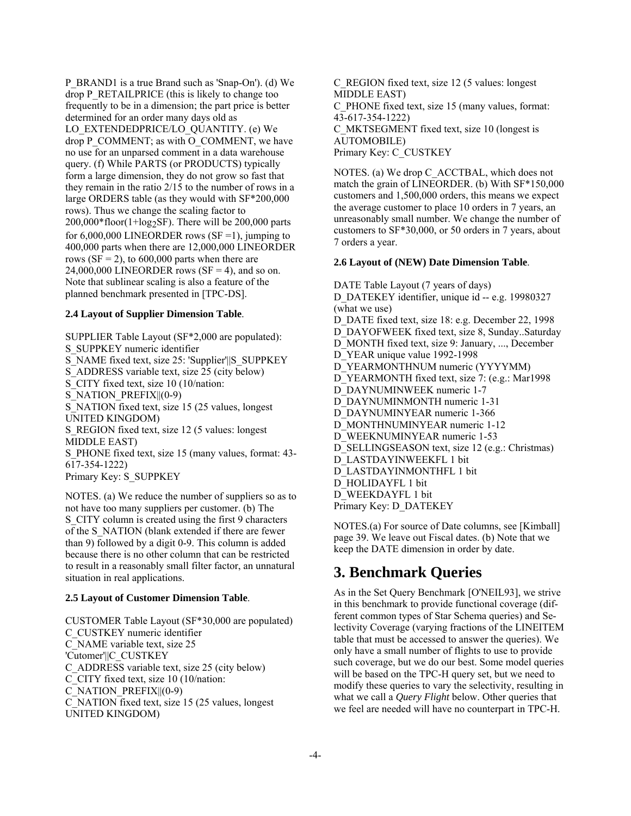P\_BRAND1 is a true Brand such as 'Snap-On'). (d) We drop P\_RETAILPRICE (this is likely to change too frequently to be in a dimension; the part price is better determined for an order many days old as LO\_EXTENDEDPRICE/LO\_QUANTITY. (e) We drop P\_COMMENT; as with O\_COMMENT, we have no use for an unparsed comment in a data warehouse query. (f) While PARTS (or PRODUCTS) typically form a large dimension, they do not grow so fast that they remain in the ratio 2/15 to the number of rows in a large ORDERS table (as they would with SF\*200,000 rows). Thus we change the scaling factor to  $200,000*$ floor(1+log<sub>2</sub>SF). There will be 200,000 parts for  $6,000,000$  LINEORDER rows (SF = 1), jumping to 400,000 parts when there are 12,000,000 LINEORDER rows ( $SF = 2$ ), to 600,000 parts when there are 24,000,000 LINEORDER rows ( $SF = 4$ ), and so on. Note that sublinear scaling is also a feature of the planned benchmark presented in [TPC-DS].

### **2.4 Layout of Supplier Dimension Table**.

SUPPLIER Table Layout (SF\*2,000 are populated): S\_SUPPKEY numeric identifier S\_NAME fixed text, size 25: 'Supplier'||S\_SUPPKEY S ADDRESS variable text, size 25 (city below) S CITY fixed text, size 10 (10/nation: S\_NATION\_PREFIX||(0-9) S\_NATION fixed text, size 15 (25 values, longest UNITED KINGDOM) S\_REGION fixed text, size 12 (5 values: longest MIDDLE EAST) S PHONE fixed text, size 15 (many values, format: 43-617-354-1222) Primary Key: S\_SUPPKEY

NOTES. (a) We reduce the number of suppliers so as to not have too many suppliers per customer. (b) The S CITY column is created using the first 9 characters of the S\_NATION (blank extended if there are fewer than 9) followed by a digit 0-9. This column is added because there is no other column that can be restricted to result in a reasonably small filter factor, an unnatural situation in real applications.

### **2.5 Layout of Customer Dimension Table**.

CUSTOMER Table Layout (SF\*30,000 are populated) C\_CUSTKEY numeric identifier C\_NAME variable text, size 25 'Cutomer'||C\_CUSTKEY C\_ADDRESS variable text, size 25 (city below) C\_CITY fixed text, size 10 (10/nation: C\_NATION\_PREFIX||(0-9) C\_NATION fixed text, size 15 (25 values, longest UNITED KINGDOM)

C\_REGION fixed text, size 12 (5 values: longest MIDDLE EAST) C\_PHONE fixed text, size 15 (many values, format: 43-617-354-1222) C\_MKTSEGMENT fixed text, size 10 (longest is AUTOMOBILE) Primary Key: C\_CUSTKEY

NOTES. (a) We drop C\_ACCTBAL, which does not match the grain of LINEORDER. (b) With SF\*150,000 customers and 1,500,000 orders, this means we expect the average customer to place 10 orders in 7 years, an unreasonably small number. We change the number of customers to SF\*30,000, or 50 orders in 7 years, about 7 orders a year.

#### **2.6 Layout of (NEW) Date Dimension Table**.

DATE Table Layout (7 years of days) D\_DATEKEY identifier, unique id -- e.g. 19980327 (what we use) D\_DATE fixed text, size 18: e.g. December 22, 1998 D\_DAYOFWEEK fixed text, size 8, Sunday..Saturday D\_MONTH fixed text, size 9: January, ..., December D\_YEAR unique value 1992-1998 D\_YEARMONTHNUM numeric (YYYYMM) D\_YEARMONTH fixed text, size 7: (e.g.: Mar1998) D\_DAYNUMINWEEK numeric 1-7 D\_DAYNUMINMONTH numeric 1-31 D\_DAYNUMINYEAR numeric 1-366 D\_MONTHNUMINYEAR numeric 1-12 D\_WEEKNUMINYEAR numeric 1-53 D\_SELLINGSEASON text, size 12 (e.g.: Christmas) D\_LASTDAYINWEEKFL 1 bit D\_LASTDAYINMONTHFL 1 bit D\_HOLIDAYFL 1 bit D\_WEEKDAYFL 1 bit Primary Key: D\_DATEKEY

NOTES.(a) For source of Date columns, see [Kimball] page 39. We leave out Fiscal dates. (b) Note that we keep the DATE dimension in order by date.

### **3. Benchmark Queries**

As in the Set Query Benchmark [O'NEIL93], we strive in this benchmark to provide functional coverage (different common types of Star Schema queries) and Selectivity Coverage (varying fractions of the LINEITEM table that must be accessed to answer the queries). We only have a small number of flights to use to provide such coverage, but we do our best. Some model queries will be based on the TPC-H query set, but we need to modify these queries to vary the selectivity, resulting in what we call a *Query Flight* below. Other queries that we feel are needed will have no counterpart in TPC-H.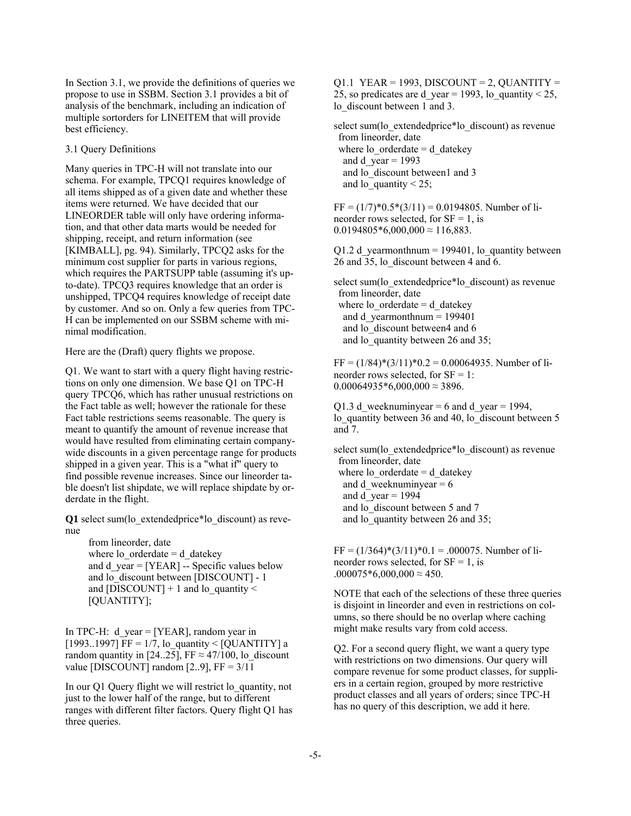In Section 3.1, we provide the definitions of queries we propose to use in SSBM. Section 3.1 provides a bit of analysis of the benchmark, including an indication of multiple sortorders for LINEITEM that will provide best efficiency.

#### 3.1 Query Definitions

Many queries in TPC-H will not translate into our schema. For example, TPCQ1 requires knowledge of all items shipped as of a given date and whether these items were returned. We have decided that our LINEORDER table will only have ordering information, and that other data marts would be needed for shipping, receipt, and return information (see [KIMBALL], pg. 94). Similarly, TPCQ2 asks for the minimum cost supplier for parts in various regions, which requires the PARTSUPP table (assuming it's upto-date). TPCQ3 requires knowledge that an order is unshipped, TPCQ4 requires knowledge of receipt date by customer. And so on. Only a few queries from TPC-H can be implemented on our SSBM scheme with minimal modification.

Here are the (Draft) query flights we propose.

Q1. We want to start with a query flight having restrictions on only one dimension. We base Q1 on TPC-H query TPCQ6, which has rather unusual restrictions on the Fact table as well; however the rationale for these Fact table restrictions seems reasonable. The query is meant to quantify the amount of revenue increase that would have resulted from eliminating certain companywide discounts in a given percentage range for products shipped in a given year. This is a "what if" query to find possible revenue increases. Since our lineorder table doesn't list shipdate, we will replace shipdate by orderdate in the flight.

**Q1** select sum(lo\_extendedprice\*lo\_discount) as revenue

> from lineorder, date where  $\log$  orderdate = d\_datekey and d\_year = [YEAR] -- Specific values below and lo\_discount between [DISCOUNT] - 1 and [DISCOUNT]  $+ 1$  and lo\_quantity  $<$ [QUANTITY];

In TPC-H: d year =  $[YEAR]$ , random year in [1993..1997] FF =  $1/7$ , lo quantity < [QUANTITY] a random quantity in [24..25], FF  $\approx$  47/100, lo\_discount value [DISCOUNT] random  $[2..9]$ , FF =  $3/11$ 

In our Q1 Query flight we will restrict lo\_quantity, not just to the lower half of the range, but to different ranges with different filter factors. Query flight Q1 has three queries.

 $Q1.1$  YEAR = 1993, DISCOUNT = 2, QUANTITY = 25, so predicates are d year = 1993, lo\_quantity < 25, lo discount between 1 and 3.

select sum(lo\_extendedprice\*lo\_discount) as revenue from lineorder, date where  $\log$  orderdate = d\_datekey and d  $year = 1993$ and lo discount between1 and 3 and lo quantity  $\leq 25$ ;

 $FF = (1/7)*0.5*(3/11) = 0.0194805$ . Number of lineorder rows selected, for  $SF = 1$ , is  $0.0194805*6,000,000 \approx 116,883$ .

 $Q1.2$  d\_yearmonthnum = 199401, lo\_quantity between 26 and 35, lo discount between 4 and 6.

select sum(lo\_extendedprice\*lo\_discount) as revenue from lineorder, date where  $\log$  orderdate = d\_datekey and d yearmonthnum  $= 199401$ and lo discount between4 and 6 and lo quantity between 26 and 35;

 $FF = (1/84)*(3/11)*0.2 = 0.00064935$ . Number of lineorder rows selected, for  $SF = 1$ :  $0.00064935*6,000,000 \approx 3896.$ 

Q1.3 d weeknuminyear = 6 and d year = 1994, lo quantity between 36 and 40, lo discount between 5 and 7.

select sum(lo\_extendedprice\*lo\_discount) as revenue from lineorder, date where  $\log$  orderdate = d\_datekey and d\_weeknuminyear =  $6$ and d  $year = 1994$ and lo discount between 5 and 7 and lo quantity between 26 and 35;

 $FF = (1/364)*(3/11)*0.1 = .000075$ . Number of lineorder rows selected, for  $SF = 1$ , is  $.000075*6,000,000 \approx 450.$ 

NOTE that each of the selections of these three queries is disjoint in lineorder and even in restrictions on columns, so there should be no overlap where caching might make results vary from cold access.

Q2. For a second query flight, we want a query type with restrictions on two dimensions. Our query will compare revenue for some product classes, for suppliers in a certain region, grouped by more restrictive product classes and all years of orders; since TPC-H has no query of this description, we add it here.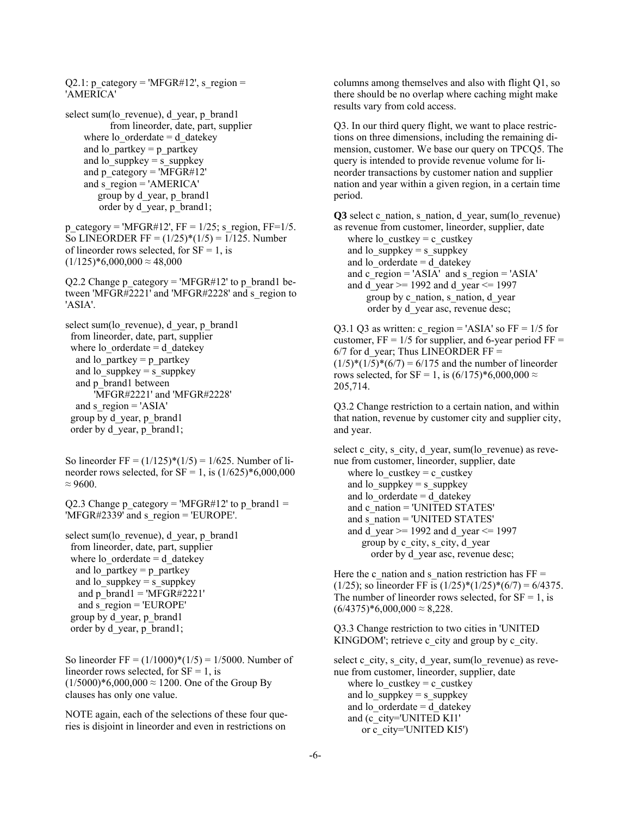$Q2.1$ : p\_category = 'MFGR#12', s\_region = 'AMERICA'

select sum(lo\_revenue), d\_year, p\_brand1 from lineorder, date, part, supplier where  $\log$  orderdate = d\_datekey and lo\_partkey = p\_partkey and lo\_suppkey = s\_suppkey and p\_category =  $\overline{MFGR#12'}$ and  $s$  region = 'AMERICA' group by d\_year, p\_brand1 order by d\_year, p\_brand1;

p\_category = 'MFGR#12', FF =  $1/25$ ; s\_region, FF=1/5. So LINEORDER FF =  $(1/25)*(1/5) = 1/125$ . Number of lineorder rows selected, for  $SF = 1$ , is  $(1/125)*6,000,000 \approx 48,000$ 

Q2.2 Change p\_category = 'MFGR#12' to p\_brand1 between 'MFGR#2221' and 'MFGR#2228' and s\_region to 'ASIA'.

select sum(lo\_revenue), d\_year, p\_brand1 from lineorder, date, part, supplier where lo  $\alpha$  orderdate = d datekey and lo  $partkey = p$  partkey and lo  $suppkey = s$  suppkey and p\_brand1 between 'MFGR#2221' and 'MFGR#2228' and s  $region = 'ASIA'$  group by d\_year, p\_brand1 order by d\_year, p\_brand1;

So lineorder FF =  $(1/125)*(1/5) = 1/625$ . Number of lineorder rows selected, for  $SF = 1$ , is  $(1/625)*6,000,000$  $\approx 9600$ 

Q2.3 Change  $p$ \_category = 'MFGR#12' to  $p$ \_brand1 = 'MFGR#2339' and s\_region = 'EUROPE'.

select sum(lo\_revenue), d\_year, p\_brand1 from lineorder, date, part, supplier where  $\log$  orderdate = d\_datekey and lo partkey  $=$  p partkey and lo  $suppkey = s$  suppkey and p\_brand1 = 'MFGR#2221' and s  $region = 'EUROPE'$  group by d\_year, p\_brand1 order by d\_year, p\_brand1;

So lineorder FF =  $(1/1000)*(1/5) = 1/5000$ . Number of lineorder rows selected, for  $SF = 1$ , is  $(1/5000)*6,000,000 \approx 1200$ . One of the Group By clauses has only one value.

NOTE again, each of the selections of these four queries is disjoint in lineorder and even in restrictions on

columns among themselves and also with flight Q1, so there should be no overlap where caching might make results vary from cold access.

Q3. In our third query flight, we want to place restrictions on three dimensions, including the remaining dimension, customer. We base our query on TPCQ5. The query is intended to provide revenue volume for lineorder transactions by customer nation and supplier nation and year within a given region, in a certain time period.

Q3 select c\_nation, s\_nation, d\_year, sum(lo\_revenue) as revenue from customer, lineorder, supplier, date

where lo\_custkey = c\_custkey and  $\log$ -suppkey = s\_suppkey and lo  $orderedate = d$  datekey and c\_region =  $'ASIA'$  and s\_region =  $'ASIA'$ and d year  $>= 1992$  and d year  $\leq 1997$  group by c\_nation, s\_nation, d\_year order by d\_year asc, revenue desc;

Q3.1 Q3 as written: c\_region = 'ASIA' so  $FF = 1/5$  for customer,  $FF = 1/5$  for supplier, and 6-year period  $FF =$  $6/7$  for d\_year; Thus LINEORDER FF =  $(1/5)*(1/5)*(6/7) = 6/175$  and the number of lineorder rows selected, for SF = 1, is  $(6/175)*6,000,000 \approx$ 205,714.

Q3.2 Change restriction to a certain nation, and within that nation, revenue by customer city and supplier city, and year.

select c\_city, s\_city, d\_year, sum(lo\_revenue) as revenue from customer, lineorder, supplier, date where lo\_custkey = c\_custkey and lo\_suppkey = s\_suppkey and lo  $ordered$  datekey and c\_nation = 'UNITED STATES' and s\_nation = 'UNITED STATES' and d year  $>= 1992$  and d year  $\leq 1997$  group by c\_city, s\_city, d\_year order by d\_year asc, revenue desc;

Here the c\_nation and s\_nation restriction has  $FF =$ (1/25); so lineorder FF is  $(1/25) * (1/25) * (6/7) = 6/4375$ . The number of lineorder rows selected, for  $SF = 1$ , is  $(6/4375)*6,000,000 \approx 8,228$ .

Q3.3 Change restriction to two cities in 'UNITED KINGDOM'; retrieve c\_city and group by c\_city.

select c\_city, s\_city, d\_year, sum(lo\_revenue) as revenue from customer, lineorder, supplier, date where lo\_custkey = c\_custkey and lo  $suppkey = s$  suppkey and lo  $ordered$  datekey and (c\_city='UNITED KI1' or c\_city='UNITED KI5')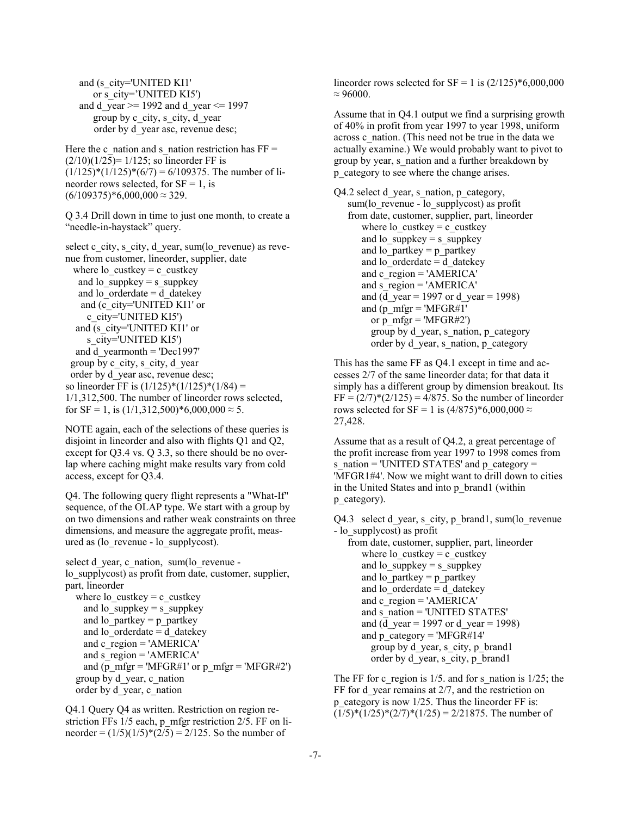and (s\_city='UNITED KI1' or s\_city='UNITED KI5') and d year  $>= 1992$  and d year  $\leq 1997$  group by c\_city, s\_city, d\_year order by d\_year asc, revenue desc;

Here the c\_nation and s\_nation restriction has  $FF =$  $(2/10)(1/25) = 1/125$ ; so lineorder FF is  $(1/125)*(1/125)*(6/7) = 6/109375$ . The number of lineorder rows selected, for  $SF = 1$ , is  $(6/109375)*6,000,000 \approx 329.$ 

Q 3.4 Drill down in time to just one month, to create a "needle-in-haystack" query.

select c\_city, s\_city, d\_year, sum(lo\_revenue) as revenue from customer, lineorder, supplier, date where lo\_custkey = c\_custkey and lo suppkey = s suppkey and lo  $ordered$  datekey and (c\_city='UNITED KI1' or c\_city='UNITED KI5') and (s\_city='UNITED KI1' or s city='UNITED KI5') and d yearmonth  $=$  'Dec1997' group by c\_city, s\_city, d\_year order by d\_year asc, revenue desc; so lineorder FF is  $(1/125)*(1/125)*(1/84) =$ 1/1,312,500. The number of lineorder rows selected, for  $SF = 1$ , is  $(1/1,312,500)*6,000,000 \approx 5$ .

NOTE again, each of the selections of these queries is disjoint in lineorder and also with flights Q1 and Q2, except for Q3.4 vs. Q 3.3, so there should be no overlap where caching might make results vary from cold access, except for Q3.4.

Q4. The following query flight represents a "What-If" sequence, of the OLAP type. We start with a group by on two dimensions and rather weak constraints on three dimensions, and measure the aggregate profit, measured as (lo\_revenue - lo\_supplycost).

select d\_year, c\_nation, sum(lo\_revenue lo\_supplycost) as profit from date, customer, supplier, part, lineorder where lo\_custkey = c\_custkey and lo\_suppkey = s\_suppkey and lo partkey  $=$  p partkey and lo  $ordered$  datekey and c\_region = 'AMERICA' and s  $region = 'AMERICA'$ and (p\_mfgr = 'MFGR#1' or p\_mfgr = 'MFGR#2') group by d\_year, c\_nation order by d\_year, c\_nation

Q4.1 Query Q4 as written. Restriction on region restriction FFs 1/5 each, p\_mfgr restriction 2/5. FF on lineorder =  $(1/5)(1/5)*(2/5) = 2/125$ . So the number of

lineorder rows selected for  $SF = 1$  is  $(2/125) * 6,000,000$  $\approx$  96000.

Assume that in Q4.1 output we find a surprising growth of 40% in profit from year 1997 to year 1998, uniform across c\_nation. (This need not be true in the data we actually examine.) We would probably want to pivot to group by year, s\_nation and a further breakdown by p\_category to see where the change arises.

Q4.2 select d\_year, s\_nation, p\_category, sum(lo\_revenue - lo\_supplycost) as profit from date, customer, supplier, part, lineorder where lo custkey = c custkey and lo  $suppkey = s$  suppkey and lo partkey  $=$  p\_partkey and lo  $\overline{$  orderdate = d datekey and  $c_{region} = 'AMERICA'$ and s  $region = 'AMERICA'$ and (d\_year = 1997 or d\_year = 1998) and (p\_mfgr = 'MFGR#1' or p\_mfgr = 'MFGR#2') group by d\_year, s\_nation, p\_category order by d\_year, s\_nation, p\_category

This has the same FF as Q4.1 except in time and accesses 2/7 of the same lineorder data; for that data it simply has a different group by dimension breakout. Its  $FF = (2/7)*(2/125) = 4/875$ . So the number of lineorder rows selected for SF = 1 is  $(4/875)*6,000,000 \approx$ 27,428.

Assume that as a result of Q4.2, a great percentage of the profit increase from year 1997 to 1998 comes from s\_nation = 'UNITED STATES' and p\_category = 'MFGR1#4'. Now we might want to drill down to cities in the United States and into p\_brand1 (within p category).

Q4.3 select d year, s\_city, p\_brand1, sum(lo\_revenue - lo\_supplycost) as profit

 from date, customer, supplier, part, lineorder where lo\_custkey = c\_custkey and lo\_suppkey = s\_suppkey and  $\log p$  partkey = p\_partkey and lo  $\overline{\text{order}}$  datekey and c\_region = 'AMERICA' and s\_nation = 'UNITED STATES' and (d\_year = 1997 or d\_year = 1998) and p\_category = 'MFGR#14' group by d\_year, s\_city, p\_brand1 order by d\_year, s\_city, p\_brand1

The FF for c\_region is  $1/5$ . and for s\_nation is  $1/25$ ; the FF for d\_year remains at 2/7, and the restriction on p category is now  $1/25$ . Thus the lineorder FF is:  $(1/5)*(1/25)*(2/7)*(1/25) = 2/21875$ . The number of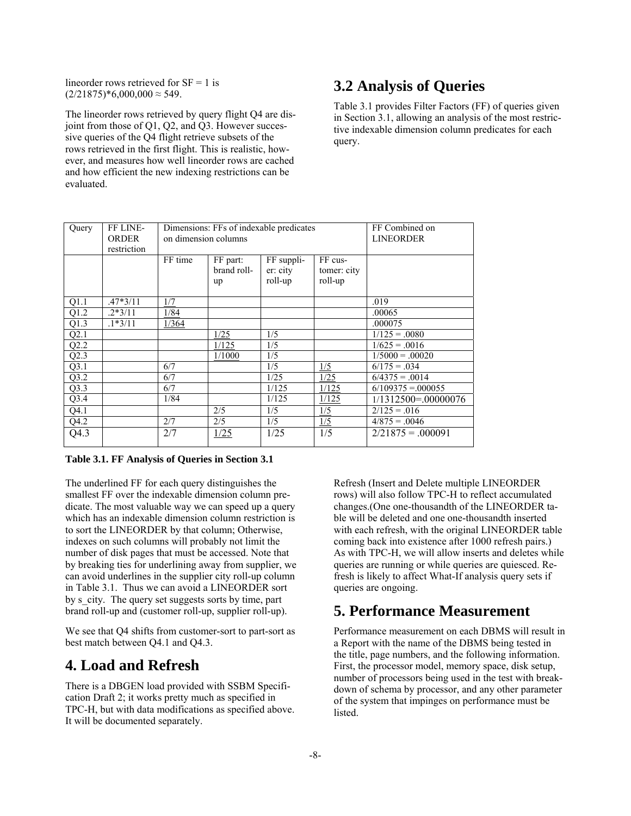lineorder rows retrieved for  $SF = 1$  is  $(2/21875)*6,000,000 \approx 549.$ 

The lineorder rows retrieved by query flight Q4 are disjoint from those of Q1, Q2, and Q3. However successive queries of the Q4 flight retrieve subsets of the rows retrieved in the first flight. This is realistic, however, and measures how well lineorder rows are cached and how efficient the new indexing restrictions can be evaluated.

## **3.2 Analysis of Queries**

Table 3.1 provides Filter Factors (FF) of queries given in Section 3.1, allowing an analysis of the most restrictive indexable dimension column predicates for each query.

| Query | FF LINE-<br><b>ORDER</b><br>restriction | Dimensions: FFs of indexable predicates<br>on dimension columns |                               |                                   |                                   | FF Combined on<br><b>LINEORDER</b> |
|-------|-----------------------------------------|-----------------------------------------------------------------|-------------------------------|-----------------------------------|-----------------------------------|------------------------------------|
|       |                                         | FF time                                                         | FF part:<br>brand roll-<br>up | FF suppli-<br>er: city<br>roll-up | FF cus-<br>tomer: city<br>roll-up |                                    |
| Q1.1  | $.47*3/11$                              | 1/7                                                             |                               |                                   |                                   | .019                               |
| Q1.2  | $.2*3/11$                               | 1/84                                                            |                               |                                   |                                   | .00065                             |
| Q1.3  | $.1*3/11$                               | 1/364                                                           |                               |                                   |                                   | .000075                            |
| Q2.1  |                                         |                                                                 | 1/25                          | 1/5                               |                                   | $1/125 = .0080$                    |
| Q2.2  |                                         |                                                                 | 1/125                         | 1/5                               |                                   | $1/625 = .0016$                    |
| Q2.3  |                                         |                                                                 | 1/1000                        | 1/5                               |                                   | $1/5000 = .00020$                  |
| Q3.1  |                                         | 6/7                                                             |                               | 1/5                               | $\frac{1/5}{5}$                   | $6/175 = .034$                     |
| Q3.2  |                                         | 6/7                                                             |                               | 1/25                              | 1/25                              | $6/4375 = .0014$                   |
| Q3.3  |                                         | 6/7                                                             |                               | 1/125                             | 1/125                             | $6/109375 = 000055$                |
| Q3.4  |                                         | 1/84                                                            |                               | 1/125                             | 1/125                             | $1/1312500 = 00000076$             |
| Q4.1  |                                         |                                                                 | 2/5                           | 1/5                               | 1/5                               | $2/125 = .016$                     |
| Q4.2  |                                         | 2/7                                                             | 2/5                           | 1/5                               | 1/5                               | $4/875 = 0.0046$                   |
| Q4.3  |                                         | 2/7                                                             | 1/25                          | 1/25                              | 1/5                               | $2/21875 = .000091$                |

**Table 3.1. FF Analysis of Queries in Section 3.1** 

The underlined FF for each query distinguishes the smallest FF over the indexable dimension column predicate. The most valuable way we can speed up a query which has an indexable dimension column restriction is to sort the LINEORDER by that column; Otherwise, indexes on such columns will probably not limit the number of disk pages that must be accessed. Note that by breaking ties for underlining away from supplier, we can avoid underlines in the supplier city roll-up column in Table 3.1. Thus we can avoid a LINEORDER sort by s\_city. The query set suggests sorts by time, part brand roll-up and (customer roll-up, supplier roll-up).

We see that O4 shifts from customer-sort to part-sort as best match between Q4.1 and Q4.3.

### **4. Load and Refresh**

There is a DBGEN load provided with SSBM Specification Draft 2; it works pretty much as specified in TPC-H, but with data modifications as specified above. It will be documented separately.

Refresh (Insert and Delete multiple LINEORDER rows) will also follow TPC-H to reflect accumulated changes.(One one-thousandth of the LINEORDER table will be deleted and one one-thousandth inserted with each refresh, with the original LINEORDER table coming back into existence after 1000 refresh pairs.) As with TPC-H, we will allow inserts and deletes while queries are running or while queries are quiesced. Refresh is likely to affect What-If analysis query sets if queries are ongoing.

## **5. Performance Measurement**

Performance measurement on each DBMS will result in a Report with the name of the DBMS being tested in the title, page numbers, and the following information. First, the processor model, memory space, disk setup, number of processors being used in the test with breakdown of schema by processor, and any other parameter of the system that impinges on performance must be listed.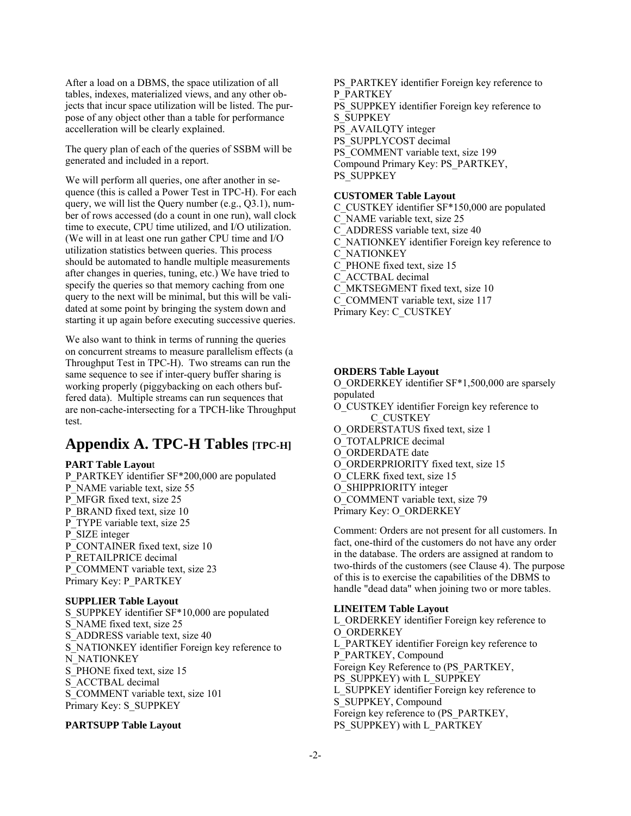After a load on a DBMS, the space utilization of all tables, indexes, materialized views, and any other objects that incur space utilization will be listed. The purpose of any object other than a table for performance accelleration will be clearly explained.

The query plan of each of the queries of SSBM will be generated and included in a report.

We will perform all queries, one after another in sequence (this is called a Power Test in TPC-H). For each query, we will list the Query number (e.g., Q3.1), number of rows accessed (do a count in one run), wall clock time to execute, CPU time utilized, and I/O utilization. (We will in at least one run gather CPU time and I/O utilization statistics between queries. This process should be automated to handle multiple measurements after changes in queries, tuning, etc.) We have tried to specify the queries so that memory caching from one query to the next will be minimal, but this will be validated at some point by bringing the system down and starting it up again before executing successive queries.

We also want to think in terms of running the queries on concurrent streams to measure parallelism effects (a Throughput Test in TPC-H). Two streams can run the same sequence to see if inter-query buffer sharing is working properly (piggybacking on each others buffered data). Multiple streams can run sequences that are non-cache-intersecting for a TPCH-like Throughput test.

### **Appendix A. TPC-H Tables [TPC-H]**

### **PART Table Layou**t

P\_PARTKEY identifier SF\*200,000 are populated P\_NAME variable text, size 55 P\_MFGR fixed text, size 25 P\_BRAND fixed text, size 10 P\_TYPE variable text, size 25 P\_SIZE integer P\_CONTAINER fixed text, size 10 P\_RETAILPRICE decimal P\_COMMENT variable text, size 23 Primary Key: P\_PARTKEY

### **SUPPLIER Table Layout**

S\_SUPPKEY identifier SF\*10,000 are populated S NAME fixed text, size 25 S ADDRESS variable text, size 40 S\_NATIONKEY identifier Foreign key reference to N\_NATIONKEY S PHONE fixed text, size 15 S ACCTBAL decimal S\_COMMENT variable text, size 101 Primary Key: S\_SUPPKEY

### **PARTSUPP Table Layout**

PS\_PARTKEY identifier Foreign key reference to P\_PARTKEY PS SUPPKEY identifier Foreign key reference to S\_SUPPKEY PS\_AVAILQTY integer PS\_SUPPLYCOST decimal PS\_COMMENT variable text, size 199 Compound Primary Key: PS\_PARTKEY, PS\_SUPPKEY

### **CUSTOMER Table Layout**

C\_CUSTKEY identifier SF\*150,000 are populated C\_NAME variable text, size 25 C\_ADDRESS variable text, size 40 C\_NATIONKEY identifier Foreign key reference to C\_NATIONKEY C\_PHONE fixed text, size 15 C\_ACCTBAL decimal C\_MKTSEGMENT fixed text, size 10 C\_COMMENT variable text, size 117 Primary Key: C\_CUSTKEY

### **ORDERS Table Layout**

O\_ORDERKEY identifier SF\*1,500,000 are sparsely populated O\_CUSTKEY identifier Foreign key reference to C\_CUSTKEY O\_ORDERSTATUS fixed text, size 1 O\_TOTALPRICE decimal O\_ORDERDATE date O\_ORDERPRIORITY fixed text, size 15 O\_CLERK fixed text, size 15 O\_SHIPPRIORITY integer O\_COMMENT variable text, size 79 Primary Key: O\_ORDERKEY

Comment: Orders are not present for all customers. In fact, one-third of the customers do not have any order in the database. The orders are assigned at random to two-thirds of the customers (see Clause 4). The purpose of this is to exercise the capabilities of the DBMS to handle "dead data" when joining two or more tables.

### **LINEITEM Table Layout**

L\_ORDERKEY identifier Foreign key reference to O\_ORDERKEY L\_PARTKEY identifier Foreign key reference to P\_PARTKEY, Compound Foreign Key Reference to (PS\_PARTKEY, PS\_SUPPKEY) with L\_SUPPKEY L\_SUPPKEY identifier Foreign key reference to S\_SUPPKEY, Compound Foreign key reference to (PS\_PARTKEY, PS\_SUPPKEY) with L\_PARTKEY